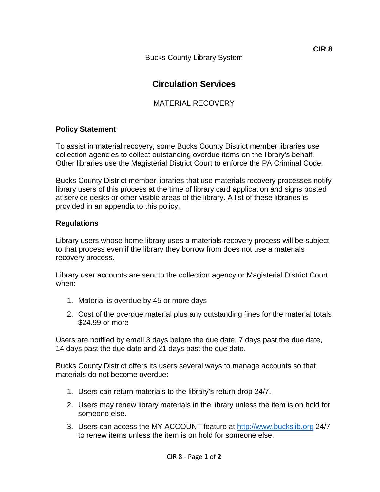Bucks County Library System

# **Circulation Services**

## MATERIAL RECOVERY

### **Policy Statement**

To assist in material recovery, some Bucks County District member libraries use collection agencies to collect outstanding overdue items on the library's behalf. Other libraries use the Magisterial District Court to enforce the PA Criminal Code.

Bucks County District member libraries that use materials recovery processes notify library users of this process at the time of library card application and signs posted at service desks or other visible areas of the library. A list of these libraries is provided in an appendix to this policy.

### **Regulations**

Library users whose home library uses a materials recovery process will be subject to that process even if the library they borrow from does not use a materials recovery process.

Library user accounts are sent to the collection agency or Magisterial District Court when:

- 1. Material is overdue by 45 or more days
- 2. Cost of the overdue material plus any outstanding fines for the material totals \$24.99 or more

Users are notified by email 3 days before the due date, 7 days past the due date, 14 days past the due date and 21 days past the due date.

Bucks County District offers its users several ways to manage accounts so that materials do not become overdue:

- 1. Users can return materials to the library's return drop 24/7.
- 2. Users may renew library materials in the library unless the item is on hold for someone else.
- 3. Users can access the [MY ACCOUNT](https://catalog.westervillelibrary.org/patroninfo/) feature at [http://www.buckslib.org](http://www.buckslib.org/) 24/7 to renew items unless the item is on hold for someone else.